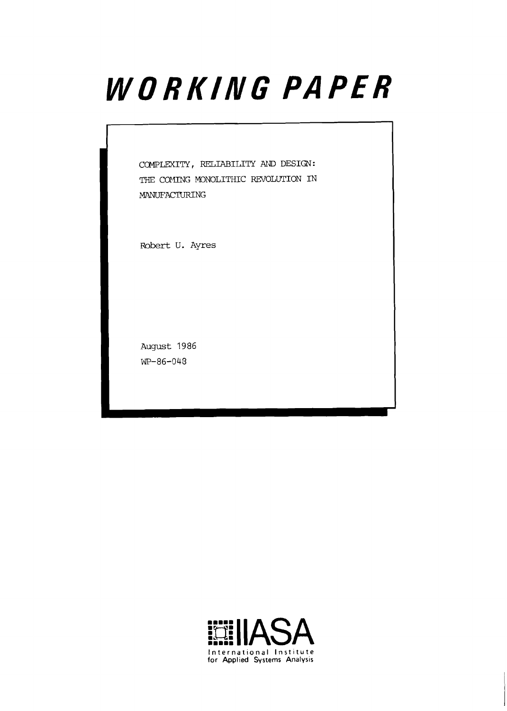# WORKING PAPER

COMPLEXITY, RELIABILITY **ATJD** DESIGN: THE COMING MONOLITHIC REVOLUTION IN MANUFACTURING

Robert U. Ayres

August 1986 WP-86-043

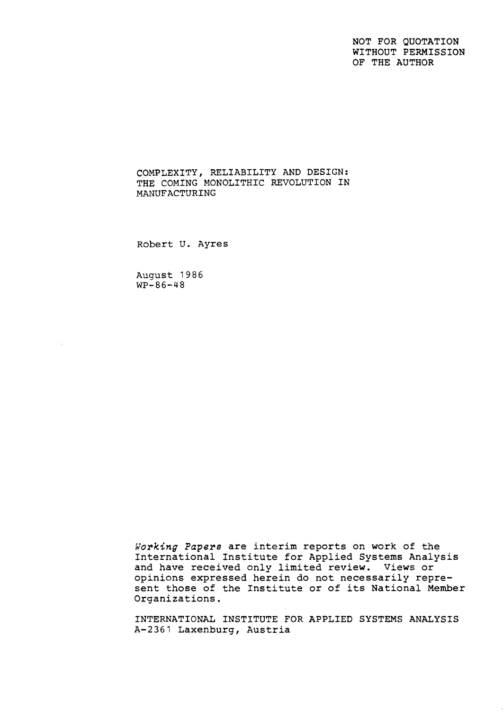NOT FOR QUOTATION WITHOUT PERMISSION OF THE AUTHOR

COMPLEXITY, RELIABILITY AND DESIGN: THE COMING MONOLITHIC REVOLUTION IN MANUFACTURING

Robert U. Ayres

August 1986  $WP-86-48$ 

**Working** *Papers* are interim reports on work of the International Institute for Applied Systems Analysis and have received only limited review. Views or opinions expressed herein do not necessarily represent those of the Institute or of its National Member Organizations.

INTERNATIONAL INSTITUTE FOR APPLIED SYSTEMS ANALYSIS A-2361 Laxenburg, Austria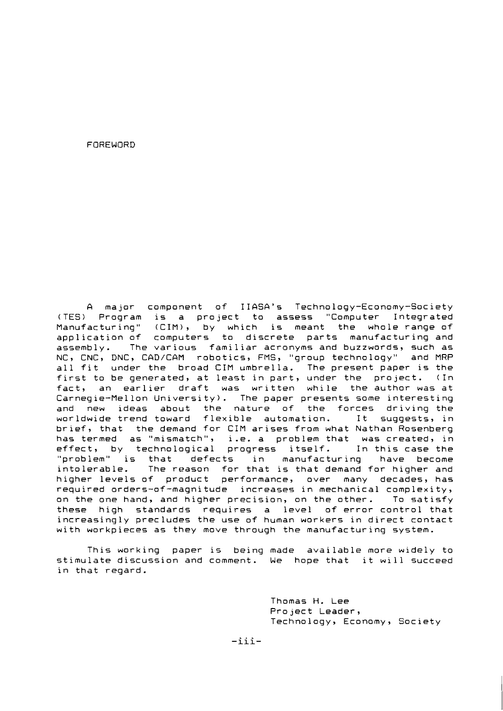FOREWORD

A major component of IIASA's Technology-Economy-Society (TES) Program is a project to assess "Computer Integrated Manufacturing" (CIM), by which is meant the whole range of application of computers to discrete parts manufacturing and assembly. The various familiar acronyms and buzzwords, such as NC, CNC, DNC, CAD/CAM robotics, FMS, "group technology" and MRP all fit under the broad CIM umbrella. The present paper is the first to be generated, at least in part, under the project. (In fact, an earlier draft was written while the author was at Carnegie-Mellon University). The paper presents some interesting and new ideas about the nature of the forces driving the worldwide trend toward flexible automation. It suggests, in brief, that the demand for CIM arises from what Nathan Rosenberg has termed as "mismatch", i.e. a problem that was created, in<br>effect, by technological progress itself. In this case the effect, by technological progress itself. "problem" is that defects in manufacturing have become intolerable. The reason for that is that demand for higher and higher levels of product performance, over many decades, has required orders-of-magnitude increases in mechanical complexity, on the one hand, and higher precision, on the other. To satisfy these high standards requires a level of error control that increasingly precludes the use of human workers in direct contact with workpieces as they move through the manufacturing system.

This working paper is being made available more widely to stimulate discussion and comment. We hope that it will succeed in that regard.

> Thomas H. Lee Project Leader, Technology, Economy, Society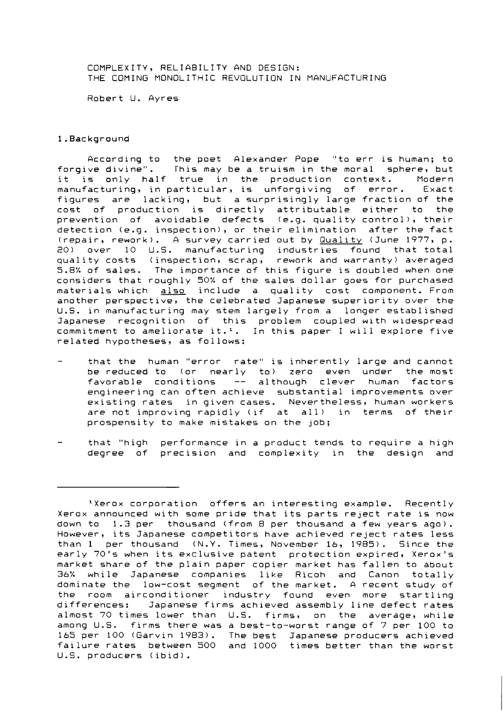COMPLEXITY, RELIABILITY AND DESIGN: THE COMING MONOLITHIC REVOLUTION IN MANUFACTURING

Robert U. Ayres

# 1.Background

According to the poet Alexander Pope "to err is human; to forgive divine". This may be a truism in the moral sphere, but it is only half true in the production context. Modern<br>manufacturing, in-particular, is unforgiving of error. Exact  $m$ anufacturing, in particular, is unforgiving of error. figures are lacking, but a surprisingly large fraction of the cost of production is directly attributable either to the prevention of avoidable defects (e.g. quality control), their detection (e.g. inspection), or their elimination after the fact (repair, rework). A survey carried out by Quality (June 1977, p. 20) over 10 U.S. manufacturing industries found that total quality costs (inspection, scrap, rework and warranty) averaged 5.8% of sales. The importance of this figure is doubled when one considers that roughly 50% of the sales dollar goes for purchased materials which also include a quality cost component. From another perspective, the celebrated Japanese superiority over the U.S. in manufacturing may stem largely from a longer established Japanese recognition of this problem coupled with widespread commitment to ameliorate it.<sup>1</sup>. In this paper I will explore five related hypotheses, as follows:

- that the human "error rate" is inherently large and cannot be reduced to (or nearly to) zero even under the most favorable conditions -- although clever human factors engineering can often achieve substantial improvements over existing rates in given cases. Nevertheless, human workers are not improving rapidly (if at all) in terms of their prospensity to make mistakes on the job;
- that "high performance in a product tends to require a high degree of precision and complexity in the design and

<sup>&#</sup>x27;Xerox corporation offers an interesting example. Recently Xerox announced with some pride that its parts reject rate is now down to 1.3 per thousand (from 8 per thousand a few years ago). However, its Japanese competitors have achieved reject rates less than 1 per thousand (N.Y. Times, November 16, 1985). Since the early 70's when its exclusive patent protection expired, Xerox's market share of the plain paper copier market has fallen to about 36% while Japanese companies like Ricoh and Canon totally dominate the low-cost segment of the market. A recent study of the room airconditioner industry found even more startling differences: Japanese firms achieved assembly line defect rates almost 70 times lower than U.S. firms, on the average, while among U.S. firms there was a best-to-worst range of 7 per 100 to 165 per 100 (Garvin 1983). The best Japanese producers achieved failure rates between 500 and 1000 times better than the worst U.S. producers (ibid).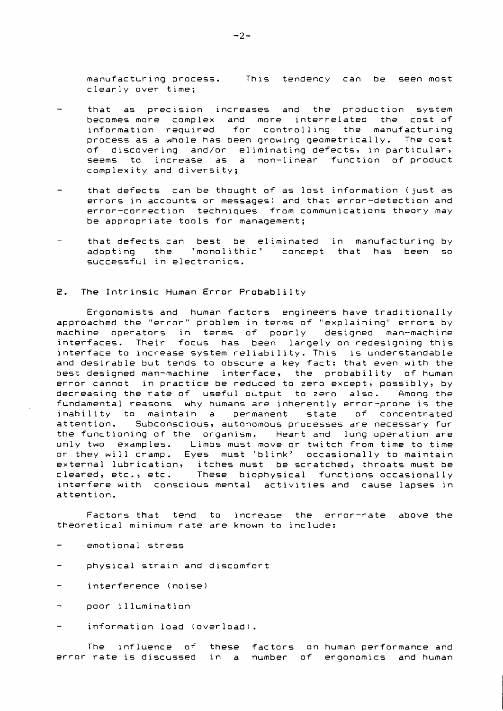manufacturing process. This tendency can be seenmost clearly over time;

- that as precision increases and the production system becomes more complex and more interrelated the cost of information required for controlling the manufacturing process as a whole has been growing geometrically. The cost of discovering and/or eliminating defects, in particular, seems to increase as a non-linear function of product complexity and diversity;
- that defects can be thought of as lost information (just as errors in accounts or messages) and that error-detection and error-correction techniques from communications theory may be appropriate tools for management;
- that defects can best be eliminated in manufacturing by adopting the 'monolithic' concept that has been so successful in electronics.

#### 2. The Intrinsic Human Error Probablilty

Ergonomists and human factors engineers have traditionally approached the "error" problem in terms of "explaining" errors by machine operators in terms of poorly designed man-machine interfaces. Their focus has been largely on redesigning this interface to increase system reliability. This is understandable and desirable but tends to obscure a key fact: that even with the best designed man-machine interface, the probability of human error cannot in practice be reduced to zero except, possibly, by decreasing the rate of useful output to zero also. Among the fundamental reasons why humans are inherently error-prone is the inability to maintain a permanent state of concentrated attention. Subconscious, autonomous processes are necessary for the functioning of the organism. Heart and lung operation are only two examples. Limbs must move or twitch from time to time or they will cramp. Eyes must 'blink' occasionally to maintain external lubrication, itches must be scratched, throats must be cleared, etc., etc. These biophysical functions occasionally interfere with conscious mental activities and cause lapses in attention.

Factors that tend to increase the error-rate above the theoretical minimum rate are known to include:

- emotional stress
- physical strain and discomfort
- interference (noise)
- poor illumination
- information load (overload).

The influence of these factors on human performance and error rate is discussed in a number of ergonomics and human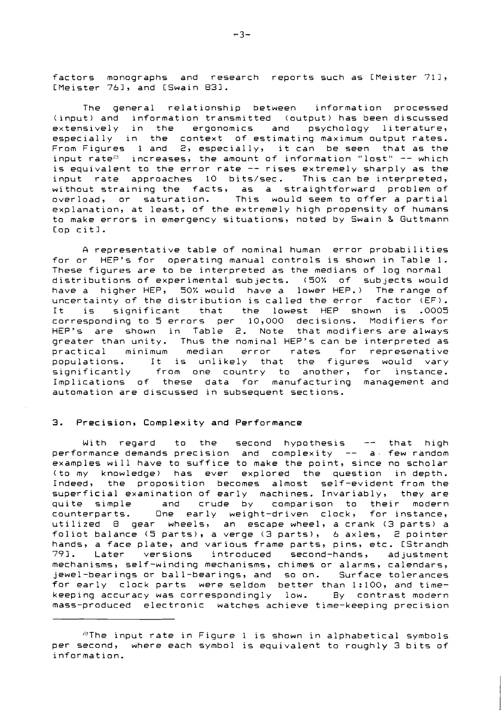factors monographs and research reports such as CMeister 711, CMeister 761, and [Swain 831.

The general relationship between information processed (input) and information transmitted (output) has been discussed extensively in the ergonomics and psychology literature, especially in the context of estimating maximum output rates. From Figures 1 and 2, especially, it can be seen that as the input rate<sup>2</sup> increases, the amount of information "lost" -- which is equivalent to the error rate -- rises extremely sharply as the input rate approaches 10 bits/sec. This can be interpreted, without straining the facts, as a straightforward problem of overload, or saturation. This would seem to offer a partial explanation, at least, of the extremely high propensity of humans to make errors in emergency situations, noted by Swain **S** Guttmann Cop citl.

A representative table of nominal human error probabilities for or HEP's for operating manual controls is shown in Table 1. These figures are to be interpreted as the medians of log normal distributions of experimental subjects. (50% of subjects would have a higher HEP, 50% would have a lower HEP.) The range of uncertainty of the distribution is called the error factor (EF). uncertainty of the distribution is called the error<br>It is significant that the lowest HEP sho significant that the lowest HEP shown is .0005 corresponding to 5 errors per 10,000 decisions. Modifiers for HEP's are shown in Table 2. Note that modifiers are always greater than unity. Thus the nominal HEP's can be interpreted as<br>practical minimum median error rates for represenative practical minimum median error rates for represenative<br>populations. It is unlikely that the figures would vary populations. It is unlikely that the figures would vary<br>significantly from one country to another, for instance. from one country to another, for instance. Implications of these data for manufacturing management and automation are discussed in subsequent sections.

#### 3. Precision, Complexity and Performance

With regard to the second hypothesis -- that high performance demands precision and complexity -- a few random examples will have to suffice to make the point, since no scholar (to my knowledge) has ever explored the question in depth. Indeed, the proposition becomes almost self-evident from the superficial examination of early machines. Invariably, they are quite simple and crude by comparison to their modern<br>counterparts. One early weight-driven clock, for instance, One early weight-driven clock, for instance, utilized 8 gear wheels, an escape wheel, a crank (3 parts) a foliot balance (5 parts), a verge (3 parts), 6 axles, 2 pointer hands, a face plate, and various frame parts, pins, etc. [Strandh<br>79]. Later versions introduced second-hands, adjustment Later versions introduced second-hands, adjustment mechanisms, self-winding mechanisms, chimes or alarms, calendars, jewel-bearings or ball-bearings, and so on. Surface tolerances for early clock parts were seldom better than 1:100, and timekeeping accuracy was correspondingly low. By contrast modern mass-produced electronic watches achieve time-keeping precision

<sup>&</sup>quot;The input rate in Figure **1** is shown in alphabetical symbols per second, where each symbol is equivalent to roughly 3 bits of information.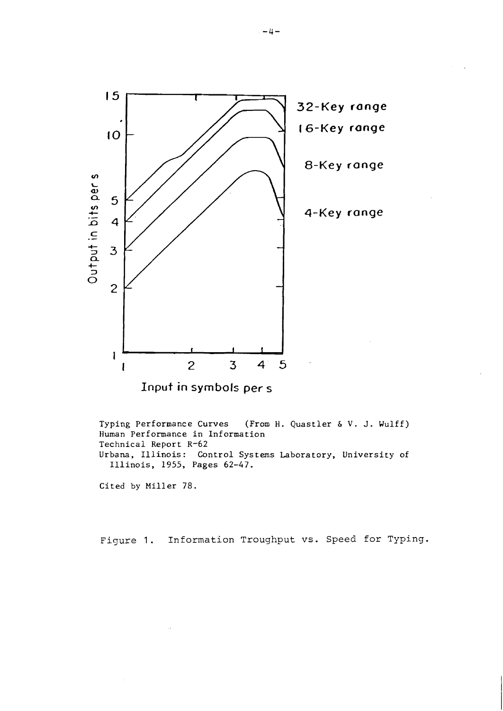

**Input** in **symbols per s** 

Typing performance Curves (From H. Quastler & V. J. Wulff) Human Performance in Information Technical Report R-62 Urbana, Illinois: Control Systems Laboratory, University of Illinois, 1955, Pages 62-47.

Cited by Miller 78.

Figure 1. Information Troughput **vs.** Speed for Typing.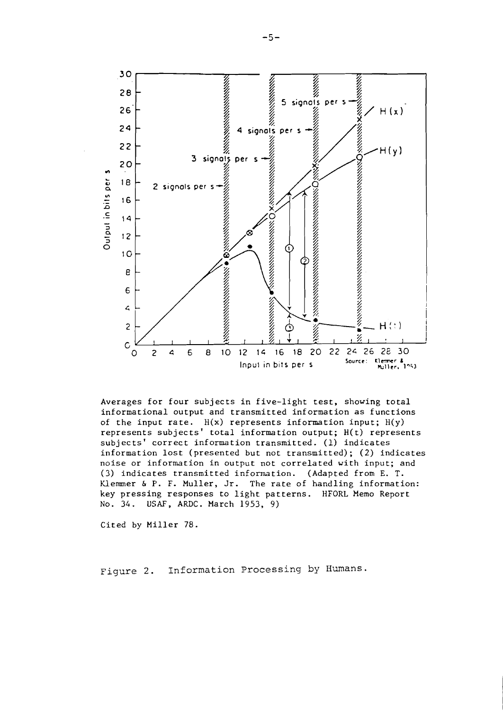

Averages for four subjects in five-light test, showing total informational output and transmitted information as functions of the input rate.  $H(x)$  represents information input;  $H(y)$ represents subjects' total information output; H(t) represents subjects' correct information transmitted. (1) indicates information lost (presented but not transmitted); **(2)** indicates noise or information in output not correlated with input; and (3) indicates transmitted information. (Adapted from E. T. Klemmer *6* P. F. Muller, Jr. The rate of handling information: key pressing responses to light patterns. HFORL Memo Report No. 34. **USAF,** ARDC. March 1953, 9)

Cited by Miller 78.

Figure 2. Information Processing by Humans.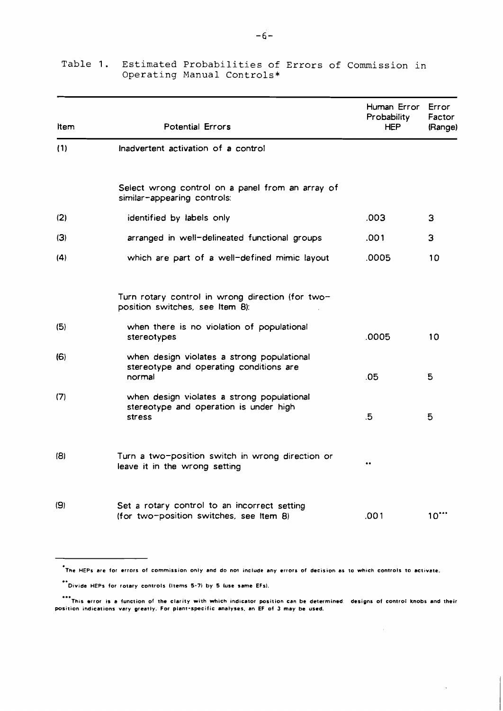| Item | <b>Potential Errors</b>                                                                         | Human Error<br>Probability<br><b>HEP</b> | <b>Error</b><br>Factor<br>(Range) |  |
|------|-------------------------------------------------------------------------------------------------|------------------------------------------|-----------------------------------|--|
| (1)  | Inadvertent activation of a control                                                             |                                          |                                   |  |
|      | Select wrong control on a panel from an array of<br>similar-appearing controls:                 |                                          |                                   |  |
| (2)  | identified by labels only                                                                       | .003                                     | 3                                 |  |
| (3)  | arranged in well-delineated functional groups                                                   | .001                                     | 3                                 |  |
| (4)  | which are part of a well-defined mimic layout                                                   | .0005                                    | 10                                |  |
|      | Turn rotary control in wrong direction (for two-<br>position switches, see Item 8):             |                                          |                                   |  |
| (5)  | when there is no violation of populational<br>stereotypes                                       | .0005                                    | 10                                |  |
| (6)  | when design violates a strong populational<br>stereotype and operating conditions are<br>normal | .05                                      | 5                                 |  |
| (7)  | when design violates a strong populational<br>stereotype and operation is under high<br>stress  | $.5\,$                                   | 5                                 |  |
| (B)  | Turn a two-position switch in wrong direction or<br>leave it in the wrong setting               | $\bullet \bullet$                        |                                   |  |
| (9)  | Set a rotary control to an incorrect setting<br>(for two-position switches, see Item 8)         | .001                                     | $10^{-4}$                         |  |

# **Table 1. Estimated Probabilities of Errors of Commission in Operating Manual Controls\***

.<br>The HEPs are for errors of commission only and do not include any errors of decision as to which controls to activate.<br>\*\*\* Divide HEPs for rotary controls (Items 5-7) by 5 (use same FEs)

\*\*\* Divide HEPs for rotary controls (Items 5-7) by 5 luse same EFs).

... Divide HEPs for rotary controls (Items 5-7) by 5 (use same EFs).<br>\*\*\*<br>This error is a function of the clarity with which indicator position can be determined: designs of control knobs and their position indications vary greatly. For plant-specific analyses, an EF of 3 may be used.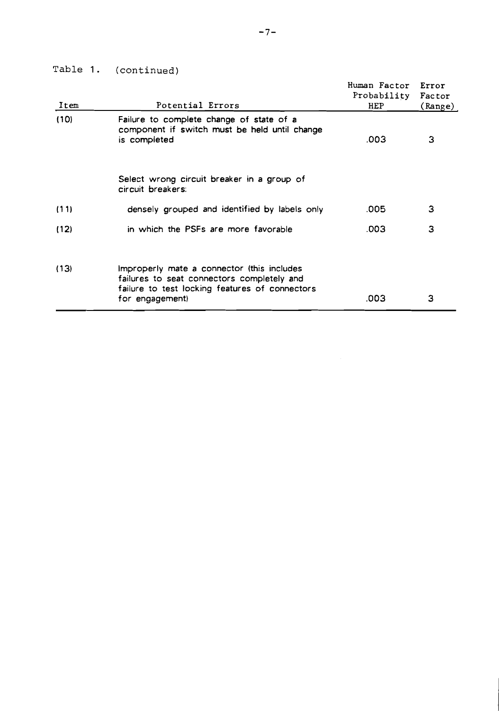Table 1. (continued)

| Item | Potential Errors                                                                                                                                              | Human Factor<br>Probability<br>HEP | Error<br>Factor<br>(Range) |
|------|---------------------------------------------------------------------------------------------------------------------------------------------------------------|------------------------------------|----------------------------|
| (10) | Failure to complete change of state of a<br>component if switch must be held until change<br>is completed                                                     | .003                               | 3                          |
|      | Select wrong circuit breaker in a group of<br>circuit breakers:                                                                                               |                                    |                            |
| (11) | densely grouped and identified by labels only                                                                                                                 | .005                               | 3                          |
| (12) | in which the PSFs are more favorable                                                                                                                          | .003                               | 3                          |
| (13) | Improperly mate a connector (this includes<br>failures to seat connectors completely and<br>failure to test locking features of connectors<br>for engagement) | .003                               | З                          |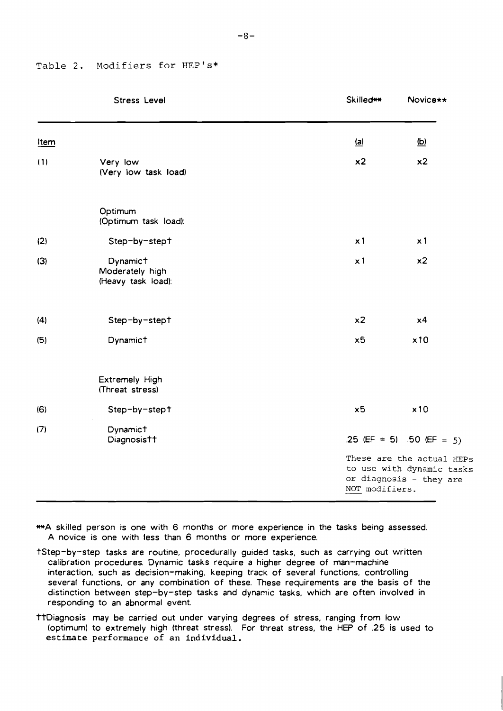# **Table 2. Modifiers for HEP's\***

|      | <b>Stress Level</b>                               | <b>Skilled**</b>           | Novice**                                                                          |
|------|---------------------------------------------------|----------------------------|-----------------------------------------------------------------------------------|
| Item |                                                   | $\underline{\mathbf{(a)}}$ | <u>(b)</u>                                                                        |
| (1)  | Very low<br>(Very low task load)                  | x <sub>2</sub>             | x2                                                                                |
|      | Optimum<br>(Optimum task load):                   |                            |                                                                                   |
| (2)  | Step-by-stept                                     | x1                         | x <sub>1</sub>                                                                    |
| (3)  | Dynamict<br>Moderately high<br>(Heavy task load): | $\times 1$                 | x2                                                                                |
| (4)  | Step-by-stept                                     | x2                         | x4                                                                                |
| (5)  | Dynamict                                          | x5                         | x10                                                                               |
|      | Extremely High<br>(Threat stress)                 |                            |                                                                                   |
| (6)  | Step-by-stept                                     | x5                         | x10                                                                               |
| (7)  | Dynamict<br>Diagnosistt                           |                            | .25 (EF = 5) .50 (EF = 5)                                                         |
|      |                                                   | NOT modifiers.             | These are the actual HEPs<br>to use with dynamic tasks<br>or diagnosis - they are |

**MA** skilled person is one with 6 months or more experience in the tasks being assessed. A novice is one with less than 6 months or more experience.

- tStep-by-step tasks are routine, procedurally guided tasks, such as carrying out written calibration procedures. Dynamic tasks require a higher degree of man-machine interaction, such as decision-making, keeping track of several functions, controlling several functions, or any combination of these. These requirements are the basis of the distinction between step-by-step tasks and dynamic tasks, which are often involved in responding to an abnormal event
- TtDiagnosis may be carried out under varying degrees of stress, ranging from low (optimum) to extremely high (threat stress). For threat stress, the HEP of .25 is used to **estimate performance of an individual.**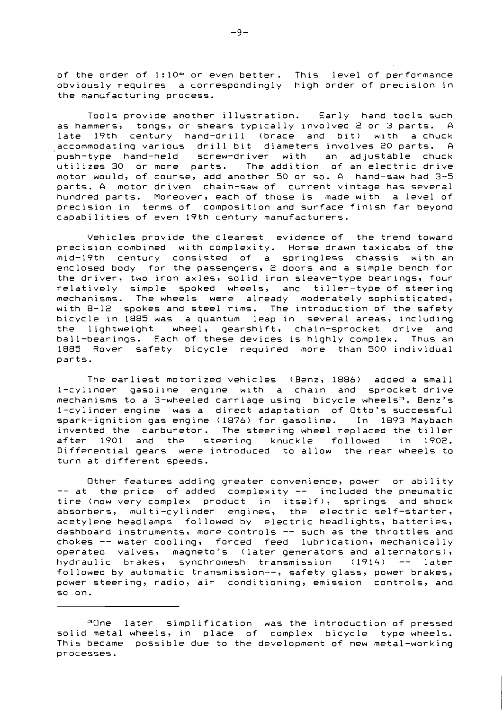of the order of  $1:10<sup>4</sup>$  or even better. This level of performance obviously requires a correspondingly high order of precision in the manufacturing process.

Tools provide another illustration. Early hand tools such as hammers, tongs, or shears typically involved 2 or 3 parts. A late 19th century hand-drill (brace and bit) with a chuck accommodating various drill bit diameters involves 20 parts. A push-type hand-held screw-dr iver with an ad justable chuck utilizes 30 or more parts. The addition of an electric drive motor would, of course, add another 50 or so. A hand-saw had 3-5 parts. A motor driven chain-saw of current vintage has several hundred parts. Moreover, each of those is made with a level of precision in terms of composition and surface finish far beyond capabilities of even 19th century manufacturers.

Vehicles provide the clearest evidence of the trend toward precision combined with complexity. Horse drawn taxicabs of the mid-19th century consisted of a springless chassis with an enclosed body for the passengers, 2 doors and a simple bench for the driver, two iron axles, solid iron sleave-type bearings, four relatively simple spoked wheels, and tiller-type of steering mechanisms. The wheels were already moderately sophisticated, with 8-12 spokes and steel rims. The introduction of the safety bicycle in 1885 was a quantum leap in several areas, including the lightweight wheel, gearshift, chain-sprocket drive and ball-bearings. Each of these devices is highly complex. Thus an 1885 Rover safety bicycle required more than 500 individual parts.

The earliest motorized vehicles (Benz, 1886) added a small 1-cylinder gasoline engine with a chain and sprocket drive mechanisms to a 3-wheeled carriage using bicycle wheels<sup>3</sup>. Benz's 1-cylinder engine was a direct adaptation of Otto's successful spark-ignition gas engine (1876) for gasoline. In 1893 Maybach invented the carburetor. The steering wheel replaced the tiller after 1901 and the steering knuckle followed in 1902. Differential gears were introduced to allow the rear wheels to turn at different speeds.

Other features adding greater convenience, power or ability -- at the price of added complexity -- included the pneumatic tire (now very complex product in itself), springs and shock absorbers, multi-cylinder engines, the electric self-starter, acetylene headlamps followed by electric headlights, batteries, dashboard instruments, more controls -- such as the throttles and chokes -- water cooling, forced feed lubrication, mechanically operated valves, magneto's (later generators and alternators), hydraulic brakes, synchromesh transmission (1914) -- later followed by automatic transmission--, safety glass, power brakes, power steering, radio, air conditioning, emission controls, and so on.

<sup>&</sup>quot;One later simplification was the introduction of pressed solid metal wheels, in place of complex bicycle type wheels. This became possible due to the development of new metal-working processes.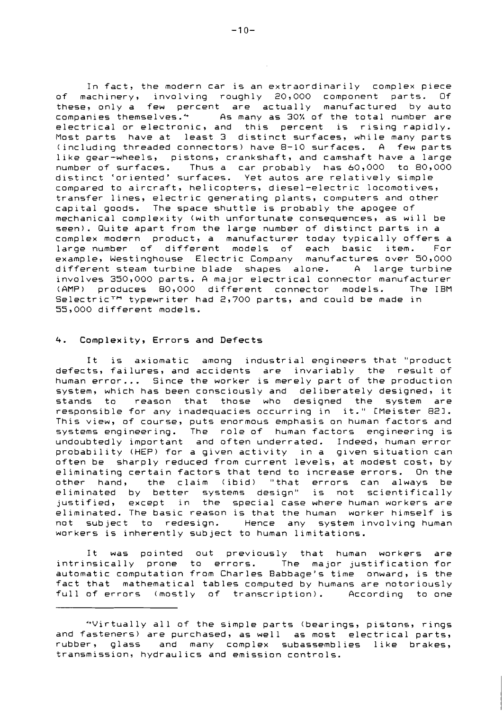In fact, the modern car is an extraordinarily complex piece of machinery, involving roughly 20,000 component parts. Of these, only a few percent are actually manufactured by auto companies themselves.<sup>4</sup> As many as 30% of the total number are electrical or electronic, and this percent is rising rapidly. Most parts have at least 3 distinct surfaces, while many parts (including threaded connectors) have 8-10 surfaces. A few parts like gear-wheels, pistons, crankshaft, and camshaft have a large number of surfaces. Thus a car probably has 60,000 to 80,000 distinct 'oriented' surfaces. Yet autos are relatively simple compared to aircraft, helicopters, diesel-electric locomotives, transfer lines, electric generating plants, computers and other capital goods. The space shuttle is probably the apogee of mechanical complexity (with unfortunate consequences, as will be seen). Quite apart from the large number of distinct parts in a complex modern product, a manufacturer today typically offers a large number of different models of each basic item. For example, Westinghouse Electric Company manufactures over 50,000 different steam turbine blade shapes alone. A large turbine involves 350,000 parts. A major electrical connector manufacturer (AMP) produces 80,000 different connector models. The IBM Selectric<sup>TM</sup> typewriter had 2,700 parts, and could be made in 55,000 different models.

#### 4. Complexity, Errors and Defects

It is axiomatic among industrial engineers that "product defects, failures, and accidents are invariably the result of human error... Since the worker is merely part of the production system, which has been consciously and deliberately designed, it stands to reason that those who designed the system are responsible for any inadequacies occurring in it." CMeister 821. This view, of course, puts enormous emphasis on human factors and systems engineering. The role of human factors engineering is undoubtedly important and often underrated. Indeed, human error probability (HEP) for a given activity in a given situation can often be sharply reduced from current levels, at modest cost, by eliminating certain factors that tend to increase errors. On the other hand, the claim (ibid) "that errors can always be eliminated by better systems design" is not scientifically justified, except in the special case where human workers are eliminated. The basic reason is that the human worker himself is not subject to redesign. Hence any system involving human workers is inherently subject to human limitations.

It was pointed out previously that human workers are intrinsically prone to errors. The major justification for automatic computation from Charles Babbage's time onward, is the fact that mathematical tables computed by humans are notoriously full of errors (mostly of transcription). According to one

<sup>&</sup>quot;Virtually all of the simple parts (bearings, pistons, rings and fasteners) are purchased, as well as most electrical parts, rubber, glass and many complex subassemblies like brakes, transmission, hydraulics and emission controls.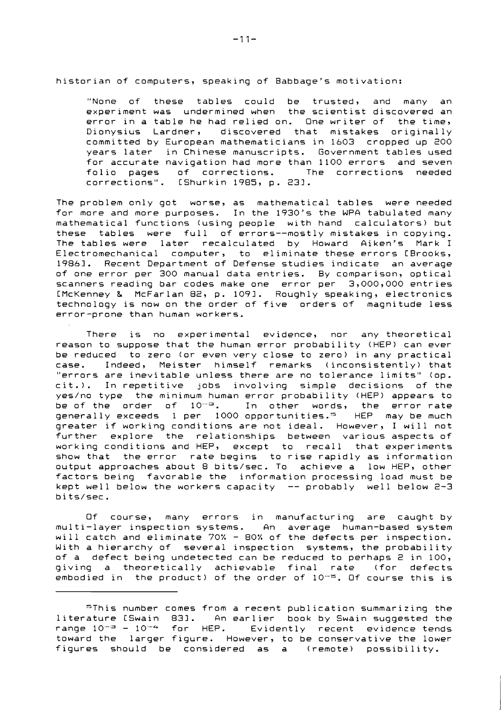historian of computers, speaking of Babbage's motivation:

"None of these tables could be trusted, and many an experiment was undermined when the scientist discovered an error in a table he had relied on. One writer of the time, Dionysius Lardner, discovered that mistakes originally committed by European mathematicians in 1603 cropped up 200 years later in Chinese manuscripts. Government tables used for accurate navigation had more than 1100 errors and seven folio pages of corrections. The corrections needed corrections". CShurkin 1985, p. 231.

The problem only got worse, as mathematical tables were needed for more and more purposes. In the 1930's the WPA tabulated many mathematical functions (using people with hand calculators) but these tables were full of errors--mostly mistakes in copying. The tables were later recalculated by Howard Aiken's Mark I Electromechanical computer, to eliminate these errors CBrooks, 19861. Recent Department of Defense studies indicate an average of one error per 300 manual data entries. By comparison, optical scanners reading bar codes make one error per 3,000,000 entries CMcKenney & McFarlan 82, p. 1093. Roughly speaking, electronics technology is now on the order of five orders of magnitude less error-prone than human workers.

There is no experimental evidence, nor any theoretical reason to suppose that the human error probability (HEP) can ever be reduced to zero (or even very close to zero) in any practical case. Indeed, Meister himself remarks (inconsistently) that "errors are inevitable unless there are no tolerance limits" (op. cit.). In repetitive jobs involving simple decisions of the yes/no type the minimum human error probability (HEP) appears to be of the order of  $10^{-9}$ . In other words, the error rate generally exceeds 1 per 1000 opportunities." HEP may be much greater if working conditions are not ideal. However, I will not further explore the relationships between various aspects of working conditions and HEP, except to recall that experiments show that the error rate begins to rise rapidly as information output approaches about 8 bits/sec. To achieve a low HEP, other factors being favorable the information processing load must be kept well below the workers capacity -- probably well below 2-3 bi ts/sec.

Of course, many errors in manufacturing are caught by multi-layer inspection systems. An average human-based system will catch and eliminate 70% - 80% of the defects per inspection. With a hierarchy of several inspection systems, the probability of a defect being undetected can be reduced to perhaps 2 in 100, giving a theoretically achievable final rate (for defects embodied in the product) of the order of  $10^{-5}$ . Of course this is

<sup>=</sup>This number comes from a recent publication summarizing the literature [Swain 831. An earlier book by Swain suggested the range  $10^{-3}$  -  $10^{-4}$  for HEP. Evidently recent evidence tends toward the larger figure. However, to be conservative the lower figures should be considered as a (remote) possibility.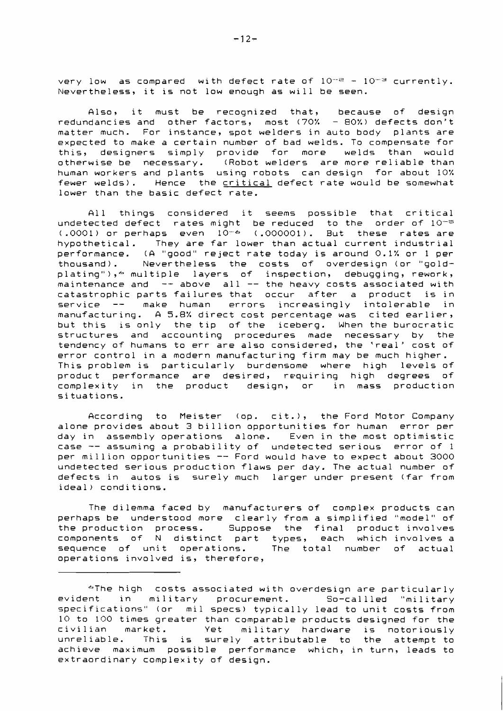very low as compared with defect rate of  $10^{-2}$  -  $10^{-3}$  currently. Nevertheless, it is not low enough as will be seen.

Also, it must be recognized that, because of design redundancies and other factors, most (70% - 80%) defects don't matter much. For instance, spot welders in auto body plants are expected to make a certain number of bad welds. To compensate for this, designers simply provide for more welds than would otherwise be necessary. (Robot welders are more reliable than human workers and plants using robots can design for about 10% fewer welds). Hence the critical defect rate would be somewhat lower than the basic defect rate.

All things considered it seems possible that critical undetected defect rates might be reduced to the order of  $10^{-\infty}$ (.0001) or perhaps even  $10^{-6}$  (.000001). But these rates are hypothetical. They are far lower than actual current industrial performance. (A "good" reject rate today is around 0.1% or 1 per thousand). Nevertheless the costs of overdesign (or "goldplating"),  $\text{*}$  multiple layers of inspection, debugging, rework, maintenance and  $-$  above all  $-$  the heavy costs associated with catastrophic parts failures that occur after a product is in service -- make human errors increasingly intolerable in manufacturing. A 5.8% direct cost percentage was cited earlier, but this is only the tip of the iceberg. When the burocratic structures and accounting procedures made necessary by the tendency of humans to err are also considered, the 'real' cost of error control in a modern manufacturing firm may be much higher. This problem is particularly burdensome where high levels of product performance are desired, requiring high degrees of complexity in the product design, or in mass production situations.

According to Meister (op. cit.), the Ford Motor Company alone provides about 3 billion opportunities for human error per day in assembly operations alone. Even in the most optimistic case -- assuming a probability of undetected serious error of 1 per million opportunities -- Ford would have to expect about 3000 undetected serious production flaws per day. The actual number of defects in autos is surely much larger under present (far from ideal) conditions.

The dilemma faced by manufacturers of complex products can perhaps be understood more clearly from a simplified "model" of the production process. Suppose the final product involves components of N distinct part types, each which involves a sequence of unit operations. The total number of actual operations involved is, therefore,

<sup>&</sup>quot;The high costs associated with overdesign are particularly evident in military procurement. So-callled "military specifications" (or mil specs) typically lead to unit costs from 10 to 100 times greater than comparable products designed for the Yet military hardware is notoriously unreliable. This is surely attributable to the attempt to achieve maximum possible performance which, in turn, leads to extraordinary complexity of design.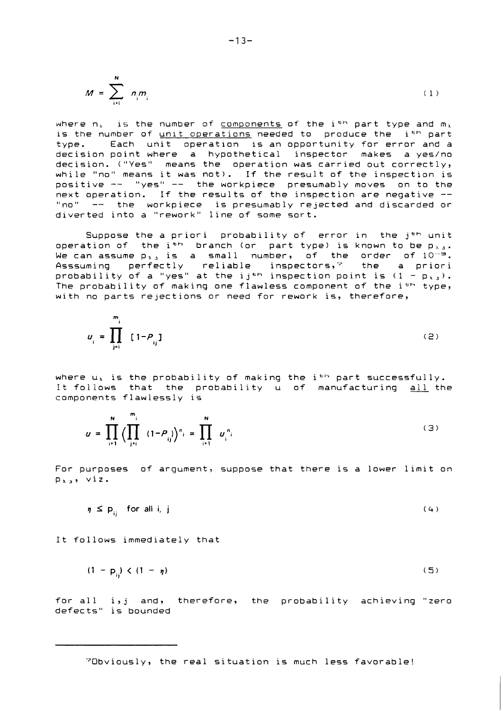$$
M = \sum_{i=1}^{N} n_i m_i \tag{1}
$$

where  $n_1$  is the number of components of the i<sup>th</sup> part type and  $m_1$ is the number of unit operations needed to produce the i<sup>th</sup> part type- Each unit operation is an opportunity for error and a decision point where a hypothetical inspector makes a yes/no decision. ("Yes" means the operation was carried out correctly, while "no" means it was not). If the result of the inspection is positive -- "yes" -- the workpiece presumably moves on to the next operation. If the results of the inspection are negative -- "no" -- the workpiece is presumably rejected and discarded or diverted into a "rework" line of some sort.

Suppose the a priori probability of error in the  $j^{\text{th}}$  unit operation of the i<sup>th</sup> branch (or part type) is known to be  $p_{\pm,j}$ . We can assume p $_{\texttt{h.i}}$  is a small number, of the order of  $10^{-\tilde{\texttt{e}}}$ . Asssuming perfectly reliable inspectors,' the a priori probability of a "yes" at the ij<sup>th</sup> inspection point is  $(1 - p_x)$ . The probability of making one flawless component of the ith type, with no parts rejections or need for rework is, therefore,

$$
u_{i} = \prod_{j=1}^{m_{i}} [1 - P_{ij}]
$$
 (2)

where  $u_i$  is the probability of making the i<sup>th</sup> part successfully. It follows that the probability u of manufacturing all the components flawlessly is

$$
u = \prod_{i=1}^{N} \left( \prod_{j=i}^{m_i} (1 - P_{ij}) \right)^{n_i} = \prod_{i=1}^{N} u_i^{n_i}
$$
 (3)

For purposes of argument, suppose that there is a lower limit on  $p_{i,j}$ , viz.

$$
\eta \leq p_{ij} \quad \text{for all } i, j \tag{4}
$$

It follows immediately that

$$
(1 - p_{ij}) < (1 - \eta) \tag{5}
$$

for all i,j and, therefore, the probability achieving "zero defects" is bounded

70bviously, the real situation is much less favorable!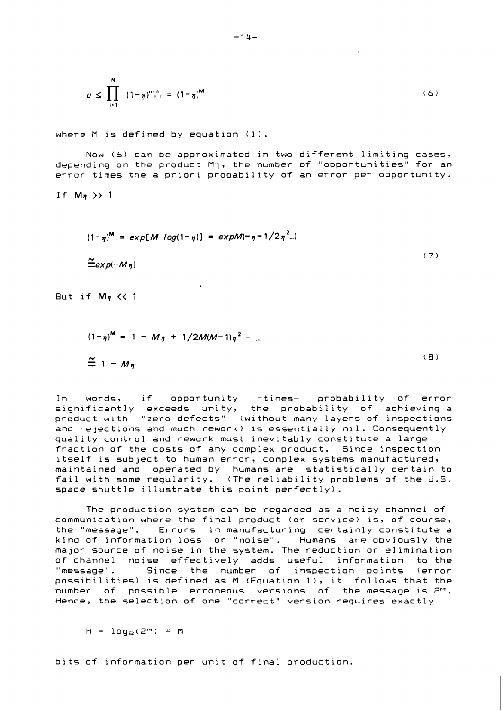$$
u \le \prod_{i=1}^{N} (1 - \eta)^{m} i^{n} = (1 - \eta)^{M}
$$
 (6)

where M is defined by equation (1).

Now (6) can be approximated in two different limiting cases, depending on the product Mq, the number of "opportunities" for an error times the a priori probability of an error per opportunity.

If  $M_n$  >> 1

$$
(1-\eta)^M = exp[M \log(1-\eta)] = expM(-\eta-1/2\eta^2...)
$$
  
\n
$$
\tilde{=} exp(-M\eta)
$$
 (7)

But if  $M_n \ll 1$ 

$$
(1-\eta)^{m} = 1 - M\eta + 1/2M(M-1)\eta^{2} - ...
$$
  
\n
$$
\approx 1 - M\eta
$$
 (8)

In words, if opportunity -times- probability of error significantly exceeds unity, the probability of achieving a product with "zero defects" (without many layers of inspections and rejections and much rework) is essentially nil. Consequently quality control and rework must inevitably constitute a large fraction of the costs of any complex product. Since inspection itself is subject to human error, complex systems manufactured, maintained and operated by humans are statistically certain to fail with some regularity. (The reliability problems of the U.S. space shuttle illustrate this point perfectly).

The production system can be regarded as a noisy channel of communication where the final product (or service) is, of course, the "message". Errors in manufacturing certainly constitute a which we we have a serious or "noise". Humans are obviously the major source of noise in the system. The reduction or elimination of channel noise effectively adds useful information to the "message". Since the number of inspection points (error possibilities) is defined as M (Equation I), it follows that the number of possible erroneous versions of the message is **2M.**  Hence, the selection of one "correct" version requires exactly

 $H = log_{\odot}(2^m) = M$ 

bits of information per unit of final production.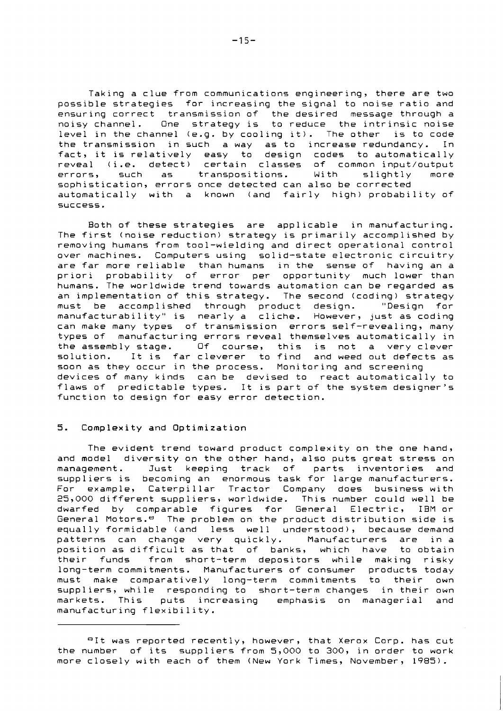Taking a clue from communications engineering, there are two possible strategies for increasing the signal to noise ratio and ensuring correct transmission of the desired message through a noisy channel. One strategy is to reduce the intrinsic noise level in the channel (e.9. by cooling it). The other is to code the transmission in such a way as to increase redundancy. In fact, it is relatively easy to design codes to automatically reveal (i.e. detect) certain classes of common input/output errors, such as transpositions. With slightly more sophistication, errors once detected can also be corrected automatically with a known (and fairly high) probability of success.

Both of these strategies are applicable in manufacturing. The first (noise reduction) strategy is primarily accomplished by removing humans from tool-wielding and direct operational control over machines. Computers using solid-state electronic circuitry are far more reliable than humans in the sense of having an a priori probability of error per opportunity much lower than humans. The worldwide trend towards automation can be regarded as an implementation of this strategy. The second (coding) strategy must be accomplished through product design. "Design for manufacturability" is nearly a cliche. However, just as coding can make many types of transmission errors self-revealing, many types of manufacturing errors reveal themselves automatically in the assembly stage. Of course, this is not a very clever solution. It is far cleverer to find and weed out defects as soon as they occur in the process. Monitoring and screening devices of many kinds can be devised to react automatically to flaws of predictable types. It is part of the system designer's function to design for easy error detection.

## 5. Complexity and Optimization

The evident trend toward product complexity on the one hand, and model diversity on the other hand, also puts great stress on management. Just keeping track of parts inventories and suppliers is becoming an enormous task for large manufacturers. For example, Caterpillar Tractor Company does business with 25,000 different suppliers, worldwide. This number could well be dwarfed by comparable figures for General Electric, IBM or General Motors.<sup>8</sup> The problem on the product distribution side is equally formidable (and less well understood), because demand patterns can change very quickly. Manufacturers are in a position as difficult as that of banks, which have to obtain their funds from short-term depositors while making risky long-term commitments. Manufacturers of consumer products today must make comparatively long-term commitments to their own suppliers, while responding to short-term changes in their own markets. This puts increasing emphasis on managerial and manufacturing flexibility.

<sup>&</sup>lt;sup>8</sup>It was reported recently, however, that Xerox Corp. has cut the number of its suppliers from 5,000 to 300, in order to work more closely with each of them (New York Times, November, 1985).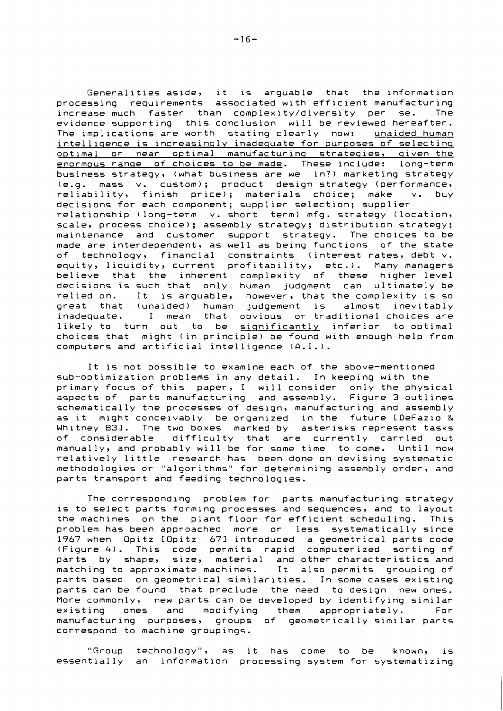Generalities aside, it is arguable that the information processing requirements associated with efficient manufacturing increase much faster than complexity/diversity per se. The evidence supporting this conclusion will be reviewed hereafter. The implications are worth stating clearly now: unaided human intelliqence is increasinqly inadequate for purposes of selectinq optimal or near optimal manufacturinq strateqies, qiven the enormous range of choices to be made. These include: long-term business strategy, (what business are we in?) marketing strategy (e.g. mass v. custom); product design-strategy-(performance,<br>reliability, finish price); materials choice; make v. buy reliability, finish price); materials choice; make decisions for each component; supplier selection; supplier relationship (long-term v. short term) mfg. strategy (location, scale, process choice); assembly strategy; distribution strategy; maintenance and customer support strategy. The choices to be made are interdependent, as well as being functions of the state of technology, financial constraints (interest rates, debt v. equity, liquidity, current profitability, etc.). Many managers believe that the inherent complexity of these higher level decisions is such that only human judgment can ultimately be relied on. It is arguable, however, that the complexity is so great that (unaided) human judgement is almost inevitably inadequate. I mean that obvious or traditional choices are likely to turn out to be significantly inferior to optimal choices that might (in principle) be found with enough help from computers and artificial intelligence (6.1.).

It is not possible to examine each of the above-mentioned sub-optimization problems in any detail. In keeping with the primary focus of this paper, I will consider only the physical aspects of parts manufacturing and assembly. Figure 3 outlines schematically the processes of design, manufacturing and assembly as it might conceivably be organized in the future CDeFazio & Whitney 831. The two boxes marked by asterisks represent tasks<br>of considerable difficulty that are currently carried out difficulty that are currently carried out manually, and probably will be for some time to come. Until now relatively little research has been done on devising systematic methodologies or "algorithms" for determining assembly order, and parts transport and feeding technologies.

The corresponding problem for parts manufacturing strategy is to select parts forming processes and sequences, and to layout the machines on the plant floor for efficient scheduling. This problem has been approached more or less systematically since 1967 when Opitz COpitz 671 introduced a geometrical parts code (Figure 4). This code permits rapid computerized sorting of parts by shape, size, material and other characteristics and matching to approximate machines. It also permits grouping of parts based on geometrical similarities. In some cases existing parts can be found that preclude the need to design new ones. More commonly, new parts can be developed by identifying similar<br>existing ones and modifying them appropriately. For existing ones and modifying them appropriately. For manufacturing purposes, groups of geometrically similar parts correspond to machine groupings.

"Group technology", as it has come to be known, is essentially an information processing system for systematizing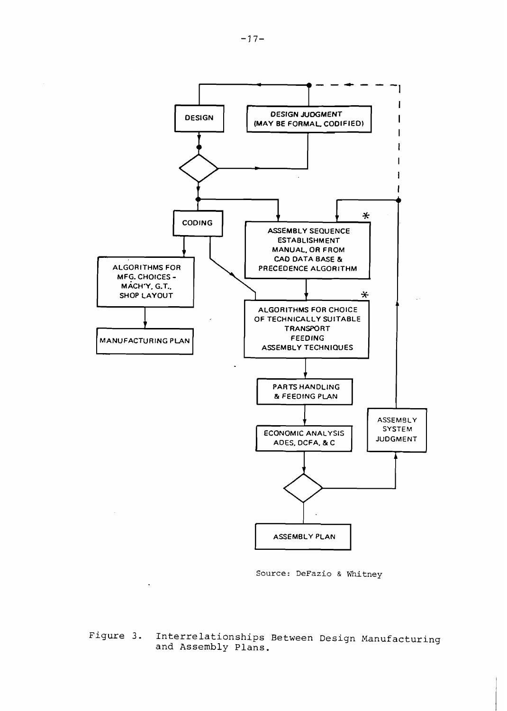

**Source: DeFazio** & **Whitney** 

**Figure 3. Interrelationships Between Design Manufacturing and Assembly Plans.**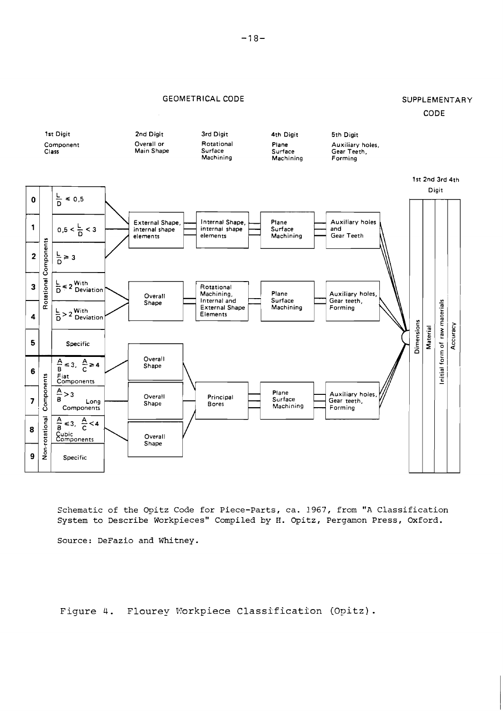## GEOMETRICAL CODE SUPPLEMENTARY

# CODE



**Schematic of the Opitz Code for Piece-Parts, ca. 1967, from "A Classification System to Describe Workpieces" Compiled by H. Opitz, Pergamon Press, Oxford.** 

**Source: DeFazio and Whitney.** 

Figure 4. Flourey Workpiece Classification (Opitz).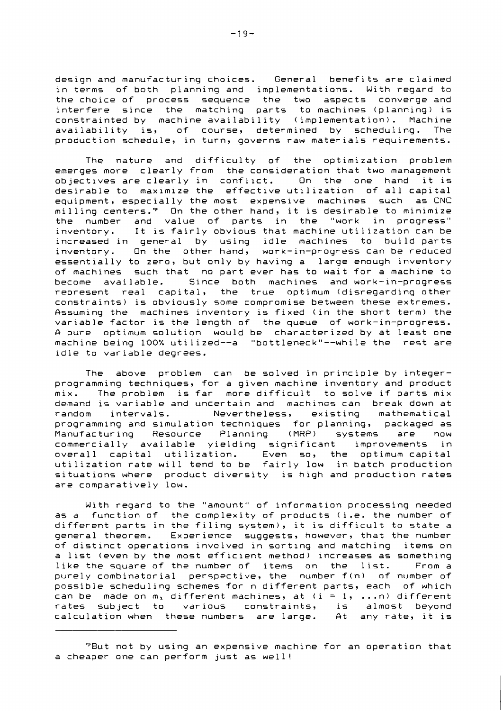design and manufacturing choices. General benefits are claimed in terms of both planning and implementations. With regard to the choice of process sequence the two aspects converge and interfere since the matching parts to machines (planning) is constrainted by machine availability (implementation). Machine availability is, of course, determined by scheduling. The production schedule, in turn, governs raw materials requirements.

The nature and difficulty of the optimization problem emerges more clearly from the consideration that two management objectives are clearly in conflict. On the one hand it is desirable to maximize the effective utilization of all capital equipment, especially the most expensive machines such as CNC milling centers.'? On the other hand, it is desirable to minimize the number and value of parts in the "work in progress" inventory. It is fairly obvious that machine utilization can be increased in general by using idle machines to build parts inventory. On the other hand, work-in-progress can be reduced essentially to zero, but only by having a large enough inventory of machines such that no part ever has to wait for a machine to become available. Since both machines and work-in-progress represent real capital, the true optimum (disregarding other constraints) is obviously some compromise between these extremes. Assuming the machines inventory is fixed (in the short term) the variable factor is the length of the queue of work-in-progress. A pure optimum solution would be characterized by at least one machine being 100% utilized--a "bottleneck"--while the rest are idle to variable degrees.

The above problem can be solved in principle by integerprogramming techniques, for a given machine inventory and product mix. The problem is far more difficult to solve if parts mix demand is variable and uncertain and machines can break down at random intervals. Nevertheless, existing mathematical programming and simulation techniques for planning, packaged as Manufacturing Resource Planning (MRP) systems are now commercially available yielding significant improvements in overall capital utilization. Even so, the optimum capital utilization rate will tend to be fairly low in batch production situations where product diversity is high and production rates are comparatively low.

With regard to the "amount" of information processing needed as a function of the complexity of products (i.e. the number of different parts in the filing system), it is difficult to state a general theorem. Experience suggests, however, that the number of distinct operations involved in sorting and matching items on a list (even by the most efficient method) increases as something like the square of the number of items on the list. From a purely combinatorial perspective, the number f(n) of number of possible scheduling schemes for n different parts, each of which can be made on  $m<sub>1</sub>$  different machines, at (i = 1, ... n) different rates subject to various constraints, is almost beyond calculation when these numbers are large. At any rate, it is

<sup>&#</sup>x27;But not by using an expensive machine for an operation that a cheaper one can perform just as well!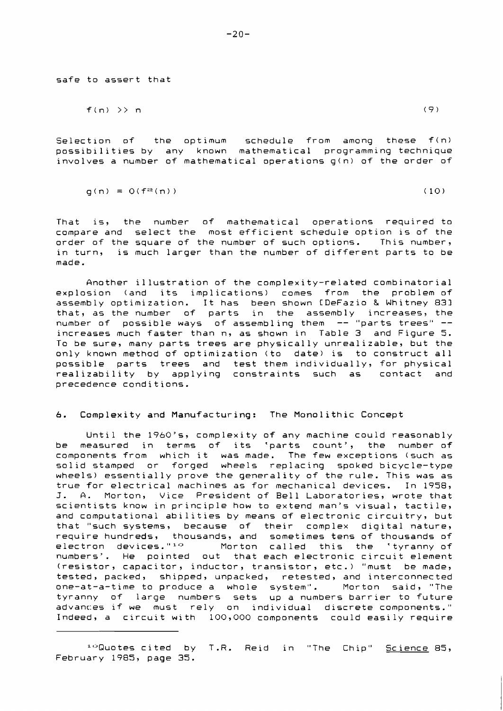safe to assert that

$$
f(n) \geqslant n \tag{9}
$$

Selection of the optimum schedule from among these f(n) possibilities by any known mathematical programming technique involves a number of mathematical operations g(n) of the order of

$$
g(n) = O(f^{\alpha}(n))
$$
 (10)

That is, the number of mathematical operations required to compare and select the most efficient schedule option is of the order of the square of the number of such options. This number, in turn, is much larger than the number of different parts to be made.

Another illustration of the complexity-related combinatorial explosion (and its implications) comes from the problem of assembly optimization. It has been shown CDeFazio & Whitney 831 that, as the number of parts in the assembly increases, the number of possible ways of assembling them -- "parts trees" - increases much faster than n, as shown in Table 3 and Figure 5. To be sure, many parts trees are physically unrealizable, but the only known method of optimization (to date) is to construct all possible parts trees and test them individually, for physical realizability by applying constraints such as contact and precedence conditions.

#### 6. Complexity and Manufacturing: The Monolithic Concept

Until the 1960's, complexity of any machine could reasonably be measured in terms of its 'parts count', the number of components from which it was made. The few exceptions (such as solid stamped or forged wheels replacing spoked bicycle-type wheels) essentially prove the generality of the rule. This was as true for electrical machines as for mechanical devices. In 1958, J. A. Morton, Vice President of Bell Laboratories, wrote that scientists know in principle how to extend man's visual, tactile, and computational abilities by means of electronic circuitry, but that "such systems, because of their complex digital nature, require hundreds, thousands, and sometimes tens of thousands of electron devices."'" Morton called this the 'tyranny.of numbers'. He pointed out that each electronic circuit element (resistor, capacitor, inductor, transistor, etc.) "must be made, tested, packed, shipped, unpacked, retested, and interconnected one-at-a-time to produce a whole system". Morton said, "The tyranny of large numbers sets up a numbers barrier to future advanc:es if we must rely on individual discrete components." Indeed, a circuit with 100,000 components could easily require

10Quotes cited by T.R. Reid in "The Chip" Science 85, February 1985, page 35.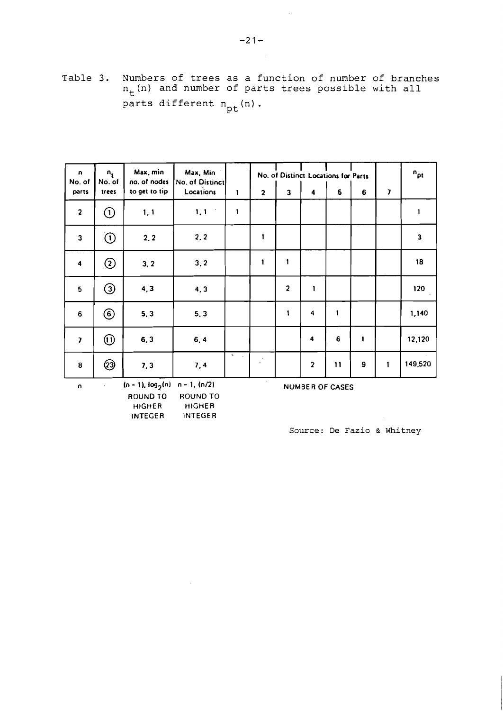Table 3. Numbers of trees as a function of number of branches  $n_t$  (n) and number of parts trees possible with all  $t$ parts different  $n_{pt}(n)$ .

| n<br>No. of             | $n_{t}$<br>No. of              | Max, min<br>no. of nodes | Max, Min<br>No. of Distinct |                               |                |                         | No. of Distinct Locations for Parts |              |                  |                         | $n_{pt}$ |
|-------------------------|--------------------------------|--------------------------|-----------------------------|-------------------------------|----------------|-------------------------|-------------------------------------|--------------|------------------|-------------------------|----------|
| parts                   | trees                          | to get to tip            | Locations                   | $\mathbf{1}$                  | $\overline{2}$ | $\overline{\mathbf{3}}$ | $\blacktriangleleft$                | 5            | 6                | $\overline{\mathbf{z}}$ |          |
| $\overline{2}$          | $\odot$                        | 1, 1                     | 1, 1                        | $\mathbf{1}$                  |                |                         |                                     |              |                  |                         | 1        |
| $\mathbf{3}$            | ①                              | 2, 2                     | 2, 2                        |                               | 1              |                         |                                     |              |                  |                         | 3        |
| $\ddot{\mathbf{4}}$     | $^{\copyright}$                | 3, 2                     | 3, 2                        |                               | $\mathbf{1}$   | $\mathbf{1}$            |                                     |              |                  |                         | 18       |
| 5                       | $\odot$                        | 4, 3                     | 4, 3                        |                               |                | $\overline{2}$          | 1                                   |              |                  |                         | 120      |
| $\bf 6$                 | $\circled6$                    | 5, 3                     | 5, 3                        |                               |                | $\mathbf{1}$            | 4                                   | $\mathbf{1}$ |                  |                         | 1,140    |
| $\overline{\mathbf{z}}$ | $\textcircled{\scriptsize{1}}$ | 6, 3                     | 6, 4                        |                               |                |                         | 4                                   | $\bf 6$      | $\mathbf{1}$     |                         | 12,120   |
| $\pmb{8}$               | @                              | 7,3                      | 7,4                         | $\hat{\phantom{a}}$<br>$\sim$ |                |                         | $\overline{\mathbf{2}}$             | 11           | $\boldsymbol{9}$ | $\mathbf{1}$            | 149,520  |

 $\mathcal{S}$ 

**n (n** - **11. log2(n) n** - **1. (1112) ROUND TO ROUND TO HIGHER HIGHER INTEGER INTEGER** 

**NUMBER OF CASES** 

**Source: De** Fazio & **Whitney**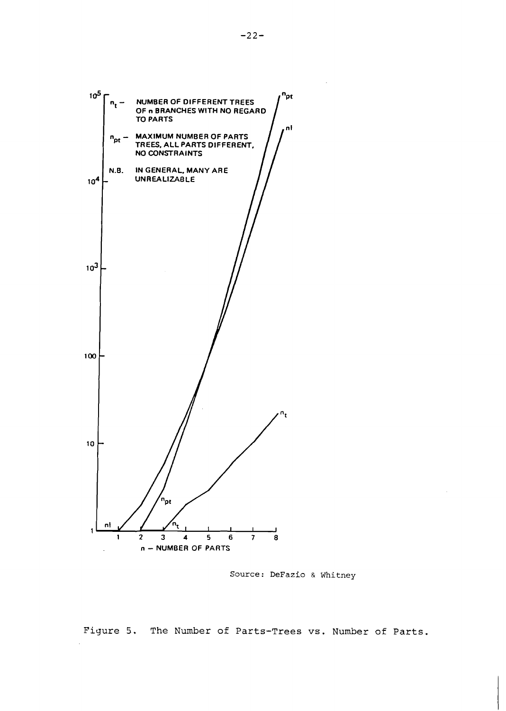

Source: DeFazio & Whitney

Figure *5.* The Number of Parts-Trees **vs.** Number of Parts.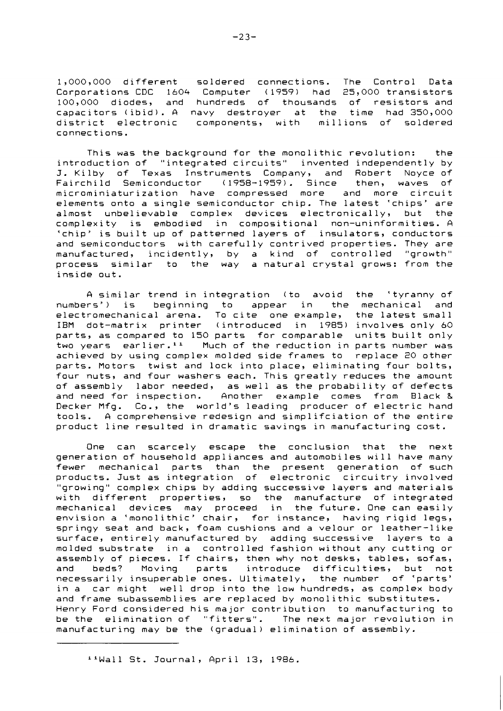1,000,000 different soldered connections. The Control Data Corporations CDC 1604 Computer (1959) had 25,000 transistors 100,000 diodes, and hundreds of thousands of resistors and capacitors (ibid). A navy destroyer at the time had 350,000 district electronic components, with millions of soldered connections.

This was the background for the monolithic revolution: the introduction of "integrated circuits" invented independently by J. Kilby of Texas Instruments Company, and Robert Noyce of Fairchild Semiconductor (1958-1959). Since then, waves of microminiaturization have compressed more and more circuit elements onto a single semiconductor chip. The latest 'chips' are almost unbelievable complex devices electronically, but the complexity is embodied in compositional non-uninformities. A 'chip' is built up of patterned layers of insulators, conductors and semiconductors with carefully contrived properties. They are manufactured, incidently, by a kind of controlled "growth" process similar to the way a natural crystal grows: from the inside out.

A similar trend in integration (to avoid the 'tyranny of numbers') is beginning to appear in the mechanical and electromechanical arena. To cite one example, the latest small IBM dot-matrix printer (introduced in 1985) involves only 60 parts, as compared to 150 parts for comparable units built only two years earlier.<sup>11</sup> Much of the reduction in parts number was achieved by using complex molded side frames to replace 20 other parts. Motors twist and lock into place, eliminating four bolts, four nuts, and four washers each. This greatly reduces the amount of assembly labor needed, as well as the probability of defects and need for inspection. Another example comes from Black & Decker Mfg. Co., the world's leading producer of electric hand tools. A comprehensive redesign and simplifciation of the entire product line resulted in dramatic savings in manufacturing cost.

One can scarcely escape the conclusion that the next generation of household appliances and automobiles will have many fewer mechanical parts than the present generation of such products. Just as integration of electronic circuitry involved "growing" complex chips by adding successive layers and materials with different properties, so the manufacture of integrated mechanical devices may proceed in the future. One can easily envision a 'monolithic' chair, for instance, having rigid legs, springy seat and back, foam cushions and a velour or leather-like surface, entirely manufactured by adding successive layers to a molded substrate in a controlled fashion without any cutting or assembly of pieces. If chairs, then why not desks, tables, sofas, and beds? Moving parts introduce difficulties, but not necessarily insuperable ones. Ultimately, the number of 'parts' in a car might well drop into the low hundreds, as complex body and frame subassemblies are replaced by monolithic substitutes. Henry Ford considered his major contribution to manufacturing to be the elimination of "fitters". The next major revolution in manufacturing may be the (gradual) elimination of assembly.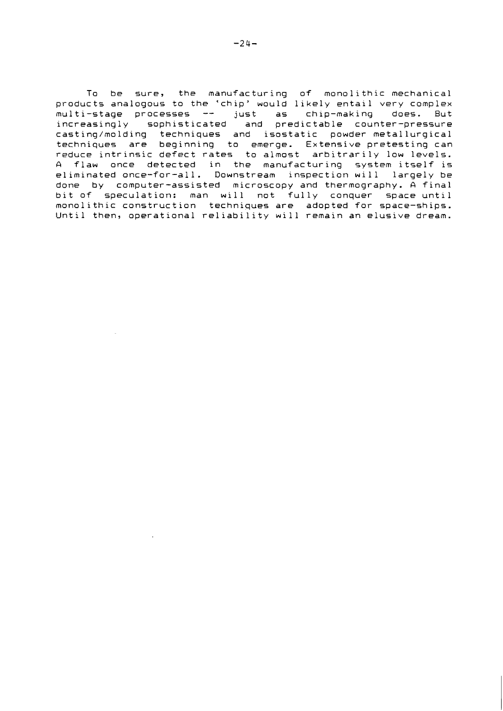To be sure, the manufacturing of monolithic mechanical products analogous to the 'chip' would likely entail very complex<br>multi-stage processes -- just as chip-making does. But increasingly sophisticated and predictable counter-pressure castinq/molding techniques and isostatic powder metallurgical techniques are beginning to emerge. Extensive pretesting can reduce intrinsic defect rates to almost arbitrarily low levels. A flaw once detected in the manufacturing system itself is eliminated once-for-all. Downstream inspection will largely be done by computer-assisted microscopy and thermoqraphy. A final bit of speculation: man will not fully conquer space until mono1 i thic construct ion techniques are adopted for space-ships. Until then, operational reliability will remain an elusive dream.